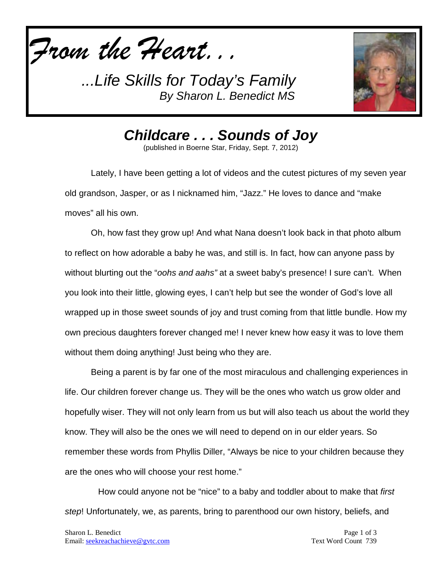



*Childcare . . . Sounds of Joy*

(published in Boerne Star, Friday, Sept. 7, 2012)

Lately, I have been getting a lot of videos and the cutest pictures of my seven year old grandson, Jasper, or as I nicknamed him, "Jazz." He loves to dance and "make moves" all his own.

Oh, how fast they grow up! And what Nana doesn't look back in that photo album to reflect on how adorable a baby he was, and still is. In fact, how can anyone pass by without blurting out the "*oohs and aahs"* at a sweet baby's presence! I sure can't. When you look into their little, glowing eyes, I can't help but see the wonder of God's love all wrapped up in those sweet sounds of joy and trust coming from that little bundle. How my own precious daughters forever changed me! I never knew how easy it was to love them without them doing anything! Just being who they are.

Being a parent is by far one of the most miraculous and challenging experiences in life. Our children forever change us. They will be the ones who watch us grow older and hopefully wiser. They will not only learn from us but will also teach us about the world they know. They will also be the ones we will need to depend on in our elder years. So remember these words from Phyllis Diller, "Always be nice to your children because they are the ones who will choose your rest home."

 How could anyone not be "nice" to a baby and toddler about to make that *first step*! Unfortunately, we, as parents, bring to parenthood our own history, beliefs, and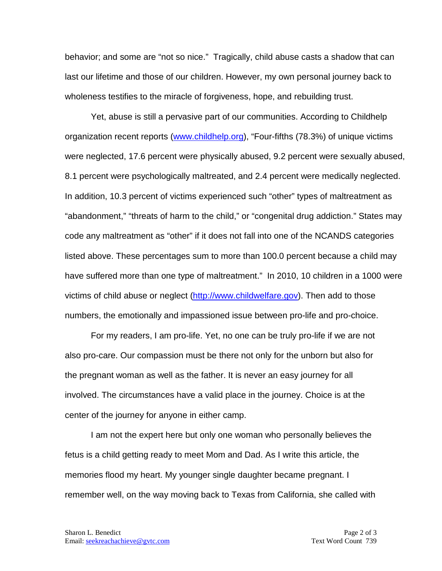behavior; and some are "not so nice." Tragically, child abuse casts a shadow that can last our lifetime and those of our children. However, my own personal journey back to wholeness testifies to the miracle of forgiveness, hope, and rebuilding trust.

Yet, abuse is still a pervasive part of our communities. According to Childhelp organization recent reports [\(www.childhelp.org\)](http://www.childhelp.org/), "Four-fifths (78.3%) of unique victims were neglected, 17.6 percent were physically abused, 9.2 percent were sexually abused, 8.1 percent were psychologically maltreated, and 2.4 percent were medically neglected. In addition, 10.3 percent of victims experienced such "other" types of maltreatment as "abandonment," "threats of harm to the child," or "congenital drug addiction." States may code any maltreatment as "other" if it does not fall into one of the NCANDS categories listed above. These percentages sum to more than 100.0 percent because a child may have suffered more than one type of maltreatment." In 2010, 10 children in a 1000 were victims of child abuse or neglect [\(http://www.childwelfare.gov\)](http://www.childwelfare.gov/). Then add to those numbers, the emotionally and impassioned issue between pro-life and pro-choice.

For my readers, I am pro-life. Yet, no one can be truly pro-life if we are not also pro-care. Our compassion must be there not only for the unborn but also for the pregnant woman as well as the father. It is never an easy journey for all involved. The circumstances have a valid place in the journey. Choice is at the center of the journey for anyone in either camp.

I am not the expert here but only one woman who personally believes the fetus is a child getting ready to meet Mom and Dad. As I write this article, the memories flood my heart. My younger single daughter became pregnant. I remember well, on the way moving back to Texas from California, she called with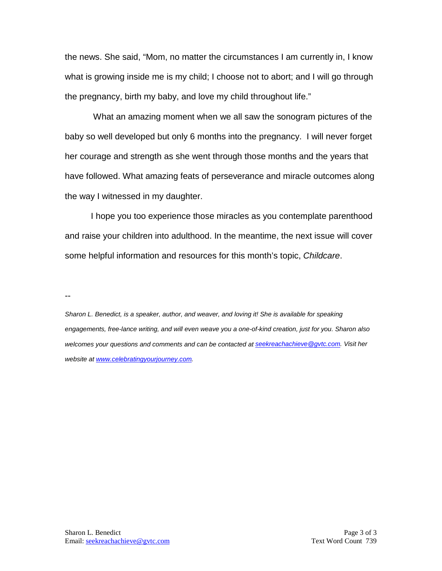the news. She said, "Mom, no matter the circumstances I am currently in, I know what is growing inside me is my child; I choose not to abort; and I will go through the pregnancy, birth my baby, and love my child throughout life."

What an amazing moment when we all saw the sonogram pictures of the baby so well developed but only 6 months into the pregnancy. I will never forget her courage and strength as she went through those months and the years that have followed. What amazing feats of perseverance and miracle outcomes along the way I witnessed in my daughter.

I hope you too experience those miracles as you contemplate parenthood and raise your children into adulthood. In the meantime, the next issue will cover some helpful information and resources for this month's topic, *Childcare*.

--

*Sharon L. Benedict, is a speaker, author, and weaver, and loving it! She is available for speaking engagements, free-lance writing, and will even weave you a one-of-kind creation, just for you. Sharon also welcomes your questions and comments and can be contacted a[t seekreachachieve@gvtc.com.](mailto:seekreachachieve@gvtc.com) Visit her website at [www.celebratingyourjourney.com.](http://www.celebratingyourjourney.com/)*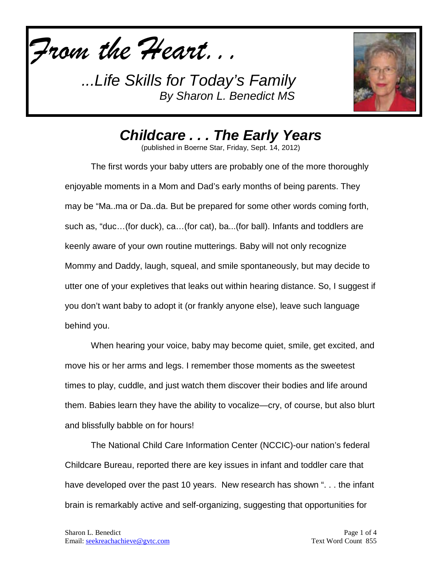*From the Heart...*



*Childcare . . . The Early Years*

(published in Boerne Star, Friday, Sept. 14, 2012)

The first words your baby utters are probably one of the more thoroughly enjoyable moments in a Mom and Dad's early months of being parents. They may be "Ma..ma or Da..da. But be prepared for some other words coming forth, such as, "duc…(for duck), ca…(for cat), ba...(for ball). Infants and toddlers are keenly aware of your own routine mutterings. Baby will not only recognize Mommy and Daddy, laugh, squeal, and smile spontaneously, but may decide to utter one of your expletives that leaks out within hearing distance. So, I suggest if you don't want baby to adopt it (or frankly anyone else), leave such language behind you.

When hearing your voice, baby may become quiet, smile, get excited, and move his or her arms and legs. I remember those moments as the sweetest times to play, cuddle, and just watch them discover their bodies and life around them. Babies learn they have the ability to vocalize—cry, of course, but also blurt and blissfully babble on for hours!

The National Child Care Information Center (NCCIC)-our nation's federal Childcare Bureau, reported there are key issues in infant and toddler care that have developed over the past 10 years. New research has shown ". . . the infant brain is remarkably active and self-organizing, suggesting that opportunities for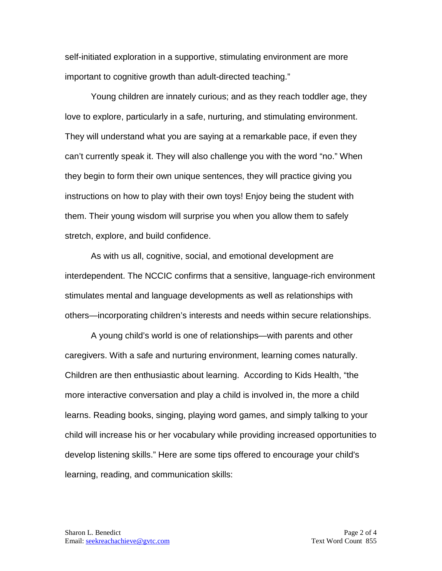self-initiated exploration in a supportive, stimulating environment are more important to cognitive growth than adult-directed teaching."

Young children are innately curious; and as they reach toddler age, they love to explore, particularly in a safe, nurturing, and stimulating environment. They will understand what you are saying at a remarkable pace, if even they can't currently speak it. They will also challenge you with the word "no." When they begin to form their own unique sentences, they will practice giving you instructions on how to play with their own toys! Enjoy being the student with them. Their young wisdom will surprise you when you allow them to safely stretch, explore, and build confidence.

As with us all, cognitive, social, and emotional development are interdependent. The NCCIC confirms that a sensitive, language-rich environment stimulates mental and language developments as well as relationships with others—incorporating children's interests and needs within secure relationships.

A young child's world is one of relationships—with parents and other caregivers. With a safe and nurturing environment, learning comes naturally. Children are then enthusiastic about learning. According to Kids Health, "the more interactive conversation and play a child is involved in, the more a child learns. Reading books, singing, playing word games, and simply talking to your child will increase his or her vocabulary while providing increased opportunities to develop listening skills." Here are some tips offered to encourage your child's learning, reading, and communication skills: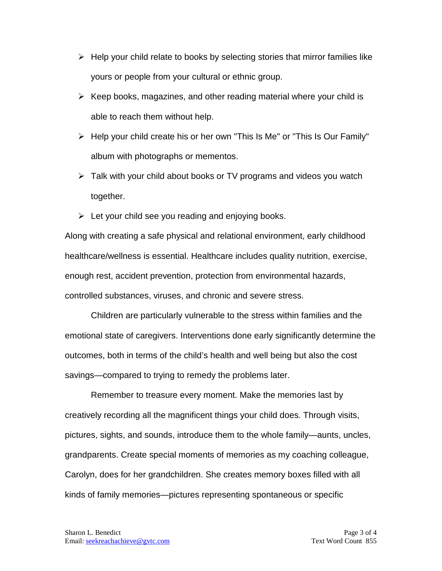- $\triangleright$  Help your child relate to books by selecting stories that mirror families like yours or people from your cultural or ethnic group.
- $\triangleright$  Keep books, magazines, and other reading material where your child is able to reach them without help.
- Help your child create his or her own "This Is Me" or "This Is Our Family" album with photographs or mementos.
- $\triangleright$  Talk with your child about books or TV programs and videos you watch together.
- $\triangleright$  Let your child see you reading and enjoying books.

Along with creating a safe physical and relational environment, early childhood healthcare/wellness is essential. Healthcare includes quality nutrition, exercise, enough rest, accident prevention, protection from environmental hazards, controlled substances, viruses, and chronic and severe stress.

Children are particularly vulnerable to the stress within families and the emotional state of caregivers. Interventions done early significantly determine the outcomes, both in terms of the child's health and well being but also the cost savings—compared to trying to remedy the problems later.

Remember to treasure every moment. Make the memories last by creatively recording all the magnificent things your child does. Through visits, pictures, sights, and sounds, introduce them to the whole family—aunts, uncles, grandparents. Create special moments of memories as my coaching colleague, Carolyn, does for her grandchildren. She creates memory boxes filled with all kinds of family memories—pictures representing spontaneous or specific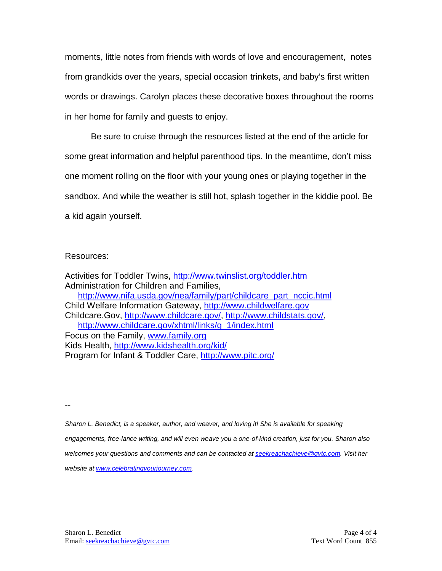moments, little notes from friends with words of love and encouragement, notes from grandkids over the years, special occasion trinkets, and baby's first written words or drawings. Carolyn places these decorative boxes throughout the rooms in her home for family and guests to enjoy.

Be sure to cruise through the resources listed at the end of the article for some great information and helpful parenthood tips. In the meantime, don't miss one moment rolling on the floor with your young ones or playing together in the sandbox. And while the weather is still hot, splash together in the kiddie pool. Be a kid again yourself.

## Resources:

Activities for Toddler Twins,<http://www.twinslist.org/toddler.htm> Administration for Children and Families, [http://www.nifa.usda.gov/nea/family/part/childcare\\_part\\_nccic.html](http://www.nifa.usda.gov/nea/family/part/childcare_part_nccic.html) Child Welfare Information Gateway, [http://www.childwelfare.gov](http://www.childwelfare.gov/) Childcare.Gov, [http://www.childcare.gov/,](http://www.childcare.gov/) [http://www.childstats.gov/,](http://www.childstats.gov/) [http://www.childcare.gov/xhtml/links/g\\_1/index.html](http://www.childcare.gov/xhtml/links/g_1/index.html) Focus on the Family, [www.family.org](http://www.family.org/) Kids Health,<http://www.kidshealth.org/kid/> Program for Infant & Toddler Care,<http://www.pitc.org/>

--

*Sharon L. Benedict, is a speaker, author, and weaver, and loving it! She is available for speaking engagements, free-lance writing, and will even weave you a one-of-kind creation, just for you. Sharon also welcomes your questions and comments and can be contacted a[t seekreachachieve@gvtc.com.](mailto:seekreachachieve@gvtc.com) Visit her website at [www.celebratingyourjourney.com.](http://www.celebratingyourjourney.com/)*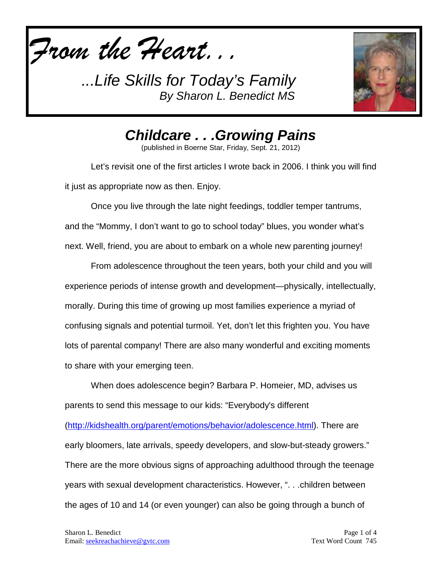*From the Heart...*



*Childcare . . .Growing Pains*

(published in Boerne Star, Friday, Sept. 21, 2012)

Let's revisit one of the first articles I wrote back in 2006. I think you will find it just as appropriate now as then. Enjoy.

Once you live through the late night feedings, toddler temper tantrums, and the "Mommy, I don't want to go to school today" blues, you wonder what's next. Well, friend, you are about to embark on a whole new parenting journey!

From adolescence throughout the teen years, both your child and you will experience periods of intense growth and development—physically, intellectually, morally. During this time of growing up most families experience a myriad of confusing signals and potential turmoil. Yet, don't let this frighten you. You have lots of parental company! There are also many wonderful and exciting moments to share with your emerging teen.

When does adolescence begin? Barbara P. Homeier, MD, advises us parents to send this message to our kids: "Everybody's different [\(http://kidshealth.org/parent/emotions/behavior/adolescence.html\)](http://kidshealth.org/parent/emotions/behavior/adolescence.html). There are early bloomers, late arrivals, speedy developers, and slow-but-steady growers." There are the more obvious signs of approaching adulthood through the teenage years with sexual development characteristics. However, ". . .children between the ages of 10 and 14 (or even younger) can also be going through a bunch of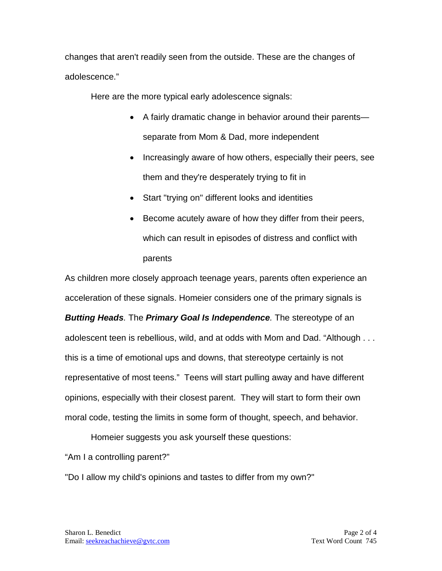changes that aren't readily seen from the outside. These are the changes of adolescence."

Here are the more typical early adolescence signals:

- A fairly dramatic change in behavior around their parents separate from Mom & Dad, more independent
- Increasingly aware of how others, especially their peers, see them and they're desperately trying to fit in
- Start "trying on" different looks and identities
- Become acutely aware of how they differ from their peers, which can result in episodes of distress and conflict with parents

As children more closely approach teenage years, parents often experience an acceleration of these signals. Homeier considers one of the primary signals is *Butting Heads.* The *Primary Goal Is Independence.* The stereotype of an adolescent teen is rebellious, wild, and at odds with Mom and Dad. "Although . . . this is a time of emotional ups and downs, that stereotype certainly is not representative of most teens." Teens will start pulling away and have different opinions, especially with their closest parent. They will start to form their own moral code, testing the limits in some form of thought, speech, and behavior.

Homeier suggests you ask yourself these questions:

"Am I a controlling parent?"

"Do I allow my child's opinions and tastes to differ from my own?"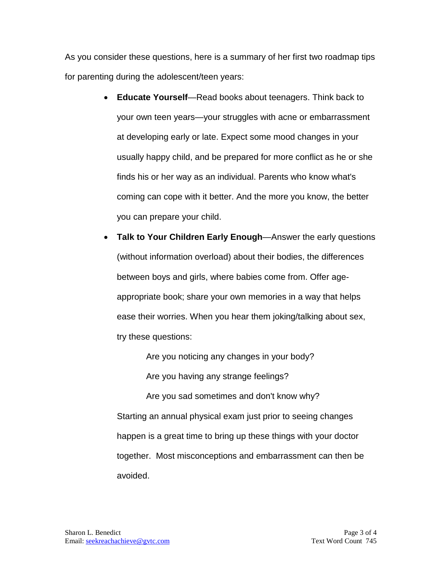As you consider these questions, here is a summary of her first two roadmap tips for parenting during the adolescent/teen years:

- **Educate Yourself**—Read books about teenagers. Think back to your own teen years—your struggles with acne or embarrassment at developing early or late. Expect some mood changes in your usually happy child, and be prepared for more conflict as he or she finds his or her way as an individual. Parents who know what's coming can cope with it better. And the more you know, the better you can prepare your child.
- **Talk to Your Children Early Enough**—Answer the early questions (without information overload) about their bodies, the differences between boys and girls, where babies come from. Offer ageappropriate book; share your own memories in a way that helps ease their worries. When you hear them joking/talking about sex, try these questions:

Are you noticing any changes in your body?

Are you having any strange feelings?

Are you sad sometimes and don't know why? Starting an annual physical exam just prior to seeing changes happen is a great time to bring up these things with your doctor together. Most misconceptions and embarrassment can then be avoided.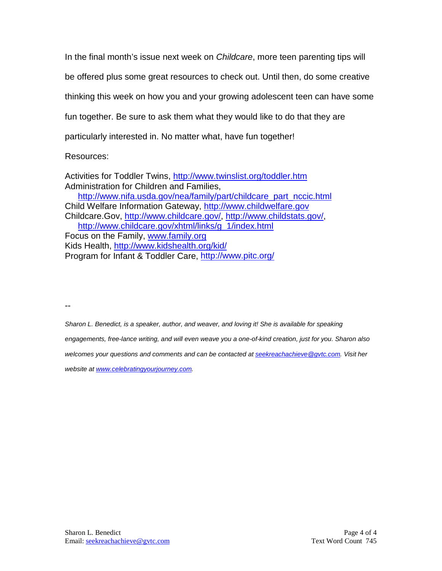In the final month's issue next week on *Childcare*, more teen parenting tips will

be offered plus some great resources to check out. Until then, do some creative

thinking this week on how you and your growing adolescent teen can have some

fun together. Be sure to ask them what they would like to do that they are

particularly interested in. No matter what, have fun together!

## Resources:

Activities for Toddler Twins,<http://www.twinslist.org/toddler.htm> Administration for Children and Families, [http://www.nifa.usda.gov/nea/family/part/childcare\\_part\\_nccic.html](http://www.nifa.usda.gov/nea/family/part/childcare_part_nccic.html) Child Welfare Information Gateway, [http://www.childwelfare.gov](http://www.childwelfare.gov/) Childcare.Gov, [http://www.childcare.gov/,](http://www.childcare.gov/) [http://www.childstats.gov/,](http://www.childstats.gov/) [http://www.childcare.gov/xhtml/links/g\\_1/index.html](http://www.childcare.gov/xhtml/links/g_1/index.html) Focus on the Family, [www.family.org](http://www.family.org/) Kids Health,<http://www.kidshealth.org/kid/> Program for Infant & Toddler Care,<http://www.pitc.org/>

--

*Sharon L. Benedict, is a speaker, author, and weaver, and loving it! She is available for speaking engagements, free-lance writing, and will even weave you a one-of-kind creation, just for you. Sharon also welcomes your questions and comments and can be contacted a[t seekreachachieve@gvtc.com.](mailto:seekreachachieve@gvtc.com) Visit her website at [www.celebratingyourjourney.com.](http://www.celebratingyourjourney.com/)*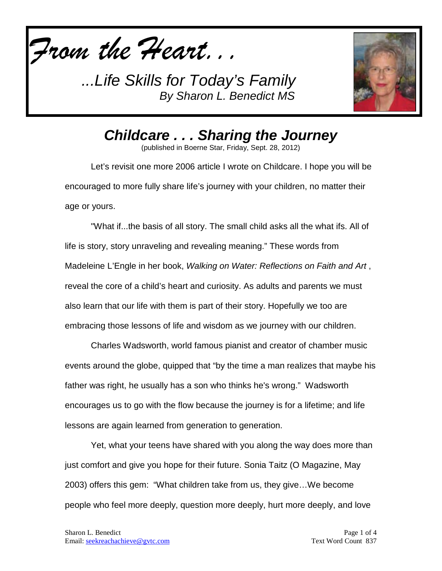*From the Heart...*



*Childcare . . . Sharing the Journey*

(published in Boerne Star, Friday, Sept. 28, 2012)

Let's revisit one more 2006 article I wrote on Childcare. I hope you will be encouraged to more fully share life's journey with your children, no matter their age or yours.

"What if...the basis of all story. The small child asks all the what ifs. All of life is story, story unraveling and revealing meaning." These words from Madeleine L'Engle in her book, *Walking on Water: Reflections on Faith and Art* , reveal the core of a child's heart and curiosity. As adults and parents we must also learn that our life with them is part of their story. Hopefully we too are embracing those lessons of life and wisdom as we journey with our children.

Charles Wadsworth, world famous pianist and creator of chamber music events around the globe, quipped that "by the time a man realizes that maybe his father was right, he usually has a son who thinks he's wrong." Wadsworth encourages us to go with the flow because the journey is for a lifetime; and life lessons are again learned from generation to generation.

Yet, what your teens have shared with you along the way does more than just comfort and give you hope for their future. Sonia Taitz (O Magazine, May 2003) offers this gem: "What children take from us, they give…We become people who feel more deeply, question more deeply, hurt more deeply, and love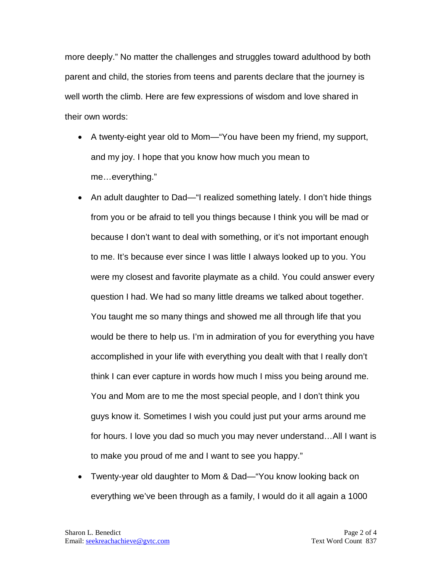more deeply." No matter the challenges and struggles toward adulthood by both parent and child, the stories from teens and parents declare that the journey is well worth the climb. Here are few expressions of wisdom and love shared in their own words:

- A twenty-eight year old to Mom—"You have been my friend, my support, and my joy. I hope that you know how much you mean to me…everything."
- An adult daughter to Dad—"I realized something lately. I don't hide things from you or be afraid to tell you things because I think you will be mad or because I don't want to deal with something, or it's not important enough to me. It's because ever since I was little I always looked up to you. You were my closest and favorite playmate as a child. You could answer every question I had. We had so many little dreams we talked about together. You taught me so many things and showed me all through life that you would be there to help us. I'm in admiration of you for everything you have accomplished in your life with everything you dealt with that I really don't think I can ever capture in words how much I miss you being around me. You and Mom are to me the most special people, and I don't think you guys know it. Sometimes I wish you could just put your arms around me for hours. I love you dad so much you may never understand…All I want is to make you proud of me and I want to see you happy."
- Twenty-year old daughter to Mom & Dad—"You know looking back on everything we've been through as a family, I would do it all again a 1000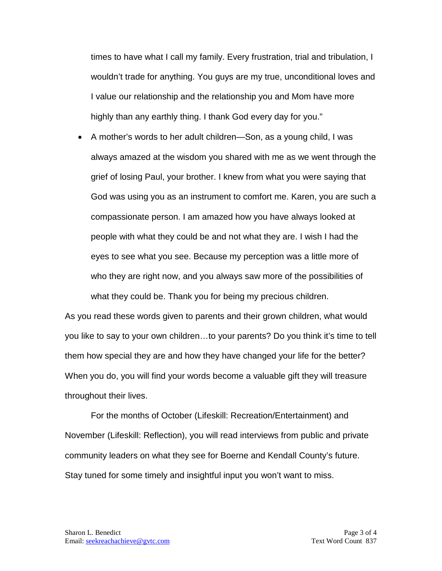times to have what I call my family. Every frustration, trial and tribulation, I wouldn't trade for anything. You guys are my true, unconditional loves and I value our relationship and the relationship you and Mom have more highly than any earthly thing. I thank God every day for you."

• A mother's words to her adult children—Son, as a young child, I was always amazed at the wisdom you shared with me as we went through the grief of losing Paul, your brother. I knew from what you were saying that God was using you as an instrument to comfort me. Karen, you are such a compassionate person. I am amazed how you have always looked at people with what they could be and not what they are. I wish I had the eyes to see what you see. Because my perception was a little more of who they are right now, and you always saw more of the possibilities of what they could be. Thank you for being my precious children.

As you read these words given to parents and their grown children, what would you like to say to your own children…to your parents? Do you think it's time to tell them how special they are and how they have changed your life for the better? When you do, you will find your words become a valuable gift they will treasure throughout their lives.

For the months of October (Lifeskill: Recreation/Entertainment) and November (Lifeskill: Reflection), you will read interviews from public and private community leaders on what they see for Boerne and Kendall County's future. Stay tuned for some timely and insightful input you won't want to miss.